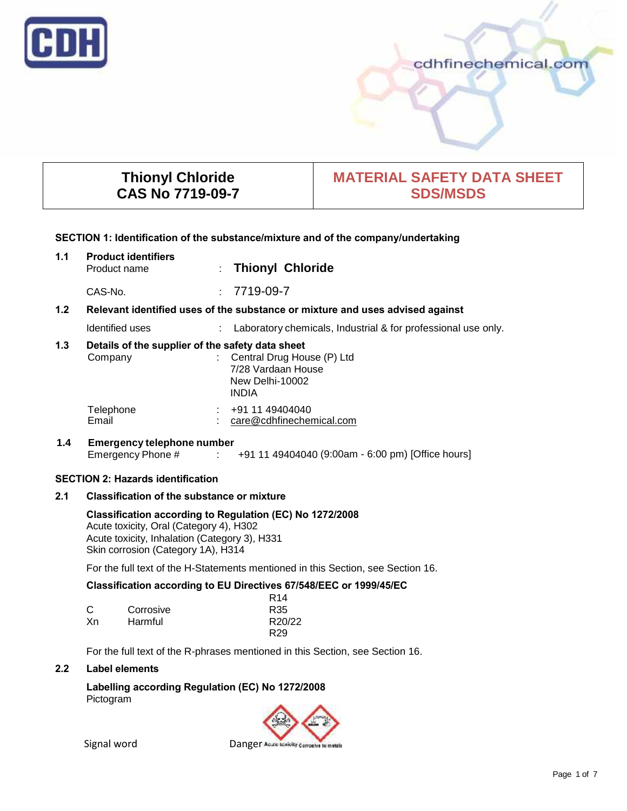

# cdhfinechemical.com

# **Thionyl Chloride CAS No 7719-09-7**

# **MATERIAL SAFETY DATA SHEET SDS/MSDS**

#### **SECTION 1: Identification of the substance/mixture and of the company/undertaking**

| 1.1                                      | <b>Product identifiers</b><br>Product name                  |  | : Thionyl Chloride                                                                    |
|------------------------------------------|-------------------------------------------------------------|--|---------------------------------------------------------------------------------------|
|                                          | CAS-No.                                                     |  | $: 7719-09-7$                                                                         |
| 1.2 <sub>2</sub>                         |                                                             |  | Relevant identified uses of the substance or mixture and uses advised against         |
|                                          | Identified uses                                             |  | : Laboratory chemicals, Industrial & for professional use only.                       |
| 1.3                                      | Details of the supplier of the safety data sheet<br>Company |  | : Central Drug House (P) Ltd<br>7/28 Vardaan House<br>New Delhi-10002<br><b>INDIA</b> |
|                                          | Telephone<br>Email                                          |  | $\div$ +91 11 49404040<br>care@cdhfinechemical.com                                    |
| 1.4                                      | <b>Emergency telephone number</b>                           |  | Emergency Phone # : +91 11 49404040 (9:00am - 6:00 pm) [Office hours]                 |
| <b>SECTION 2: Hazards identification</b> |                                                             |  |                                                                                       |
| 2.1                                      | <b>Classification of the substance or mixture</b>           |  |                                                                                       |

# **Classification according to Regulation (EC) No 1272/2008**

Acute toxicity, Oral (Category 4), H302 Acute toxicity, Inhalation (Category 3), H331 Skin corrosion (Category 1A), H314

For the full text of the H-Statements mentioned in this Section, see Section 16.

# **Classification according to EU Directives 67/548/EEC or 1999/45/EC**

|    |           | R <sub>14</sub> |
|----|-----------|-----------------|
| С  | Corrosive | R35             |
| Хn | Harmful   | R20/22          |
|    |           | R <sub>29</sub> |

For the full text of the R-phrases mentioned in this Section, see Section 16.

## **2.2 Label elements**

**Labelling according Regulation (EC) No 1272/2008** Pictogram

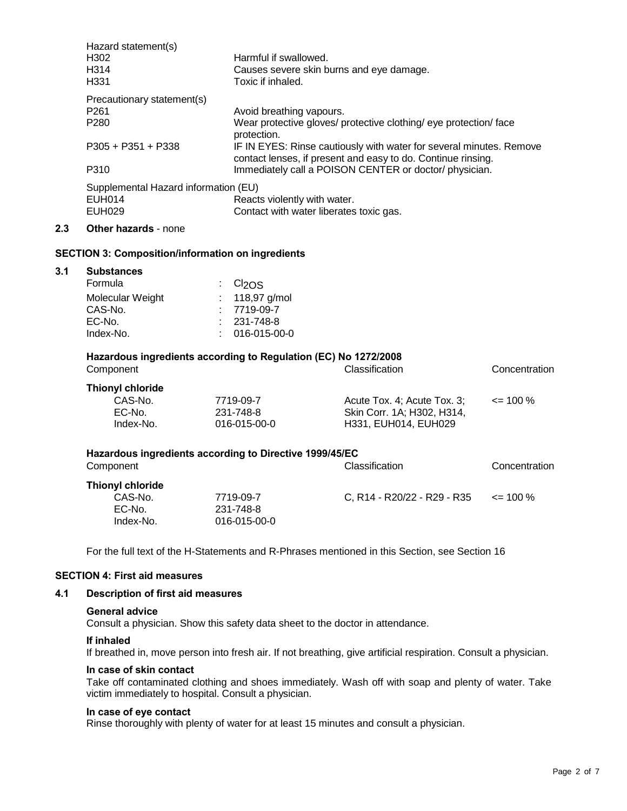| Hazard statement(s)                  |                                                                                                                                     |
|--------------------------------------|-------------------------------------------------------------------------------------------------------------------------------------|
| H302                                 | Harmful if swallowed.                                                                                                               |
| H <sub>314</sub>                     | Causes severe skin burns and eye damage.                                                                                            |
| H <sub>331</sub>                     | Toxic if inhaled.                                                                                                                   |
| Precautionary statement(s)           |                                                                                                                                     |
| P <sub>261</sub>                     | Avoid breathing vapours.                                                                                                            |
| P <sub>280</sub>                     | Wear protective gloves/ protective clothing/ eye protection/ face<br>protection.                                                    |
| $P305 + P351 + P338$                 | IF IN EYES: Rinse cautiously with water for several minutes. Remove<br>contact lenses, if present and easy to do. Continue rinsing. |
| P310                                 | Immediately call a POISON CENTER or doctor/physician.                                                                               |
| Supplemental Hazard information (EU) |                                                                                                                                     |
| EUH014                               | Reacts violently with water.                                                                                                        |
| <b>EUH029</b>                        | Contact with water liberates toxic gas.                                                                                             |
| <b>Other hazards - none</b>          |                                                                                                                                     |
|                                      |                                                                                                                                     |

# **SECTION 3: Composition/information on ingredients**

| 3.1 | <b>Substances</b> |                                |  |
|-----|-------------------|--------------------------------|--|
|     | Formula           | $\therefore$ Cl <sub>2OS</sub> |  |
|     | Molecular Weight  | : $118,97$ g/mol               |  |
|     | CAS-No.           | $: 7719-09-7$                  |  |
|     | EC-No.            | $: 231 - 748 - 8$              |  |
|     | Index-No.         | $: 016-015-00-0$               |  |
|     |                   |                                |  |

## **Hazardous ingredients according to Regulation (EC) No 1272/2008** Component Classification Concentration

| Thionyl chloride |              |                             |              |
|------------------|--------------|-----------------------------|--------------|
| CAS-No.          | 7719-09-7    | Acute Tox. 4: Acute Tox. 3: | $\leq$ 100 % |
| EC-No.           | 231-748-8    | Skin Corr. 1A: H302. H314.  |              |
| Index-No.        | 016-015-00-0 | H331, EUH014, EUH029        |              |

| Hazardous ingredients according to Directive 1999/45/EC |              |                             |               |
|---------------------------------------------------------|--------------|-----------------------------|---------------|
| Component                                               |              | <b>Classification</b>       | Concentration |
| <b>Thionyl chloride</b>                                 |              |                             |               |
| CAS-No.                                                 | 7719-09-7    | C. R14 - R20/22 - R29 - R35 | $\leq$ 100 %  |
| EC-No.                                                  | 231-748-8    |                             |               |
| Index-No.                                               | 016-015-00-0 |                             |               |

For the full text of the H-Statements and R-Phrases mentioned in this Section, see Section 16

## **SECTION 4: First aid measures**

## **4.1 Description of first aid measures**

#### **General advice**

Consult a physician. Show this safety data sheet to the doctor in attendance.

## **If inhaled**

If breathed in, move person into fresh air. If not breathing, give artificial respiration. Consult a physician.

# **In case of skin contact**

Take off contaminated clothing and shoes immediately. Wash off with soap and plenty of water. Take victim immediately to hospital. Consult a physician.

#### **In case of eye contact**

Rinse thoroughly with plenty of water for at least 15 minutes and consult a physician.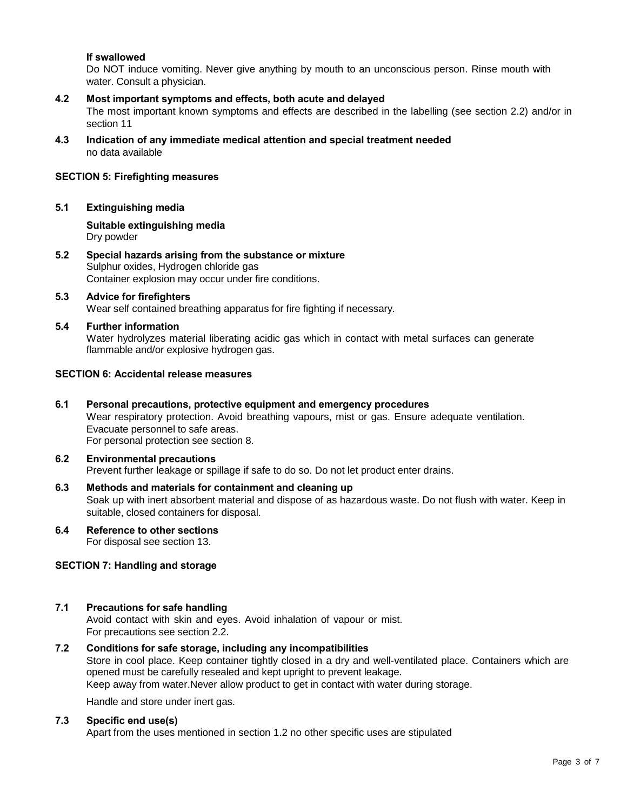## **If swallowed**

Do NOT induce vomiting. Never give anything by mouth to an unconscious person. Rinse mouth with water. Consult a physician.

#### **4.2 Most important symptoms and effects, both acute and delayed** The most important known symptoms and effects are described in the labelling (see section 2.2) and/or in section 11

**4.3 Indication of any immediate medical attention and special treatment needed** no data available

## **SECTION 5: Firefighting measures**

## **5.1 Extinguishing media**

**Suitable extinguishing media** Dry powder

**5.2 Special hazards arising from the substance or mixture** Sulphur oxides, Hydrogen chloride gas Container explosion may occur under fire conditions.

#### **5.3 Advice for firefighters** Wear self contained breathing apparatus for fire fighting if necessary.

**5.4 Further information** Water hydrolyzes material liberating acidic gas which in contact with metal surfaces can generate flammable and/or explosive hydrogen gas.

## **SECTION 6: Accidental release measures**

**6.1 Personal precautions, protective equipment and emergency procedures** Wear respiratory protection. Avoid breathing vapours, mist or gas. Ensure adequate ventilation. Evacuate personnel to safe areas. For personal protection see section 8.

#### **6.2 Environmental precautions** Prevent further leakage or spillage if safe to do so. Do not let product enter drains.

- **6.3 Methods and materials for containment and cleaning up** Soak up with inert absorbent material and dispose of as hazardous waste. Do not flush with water. Keep in suitable, closed containers for disposal.
- **6.4 Reference to other sections** For disposal see section 13.

## **SECTION 7: Handling and storage**

## **7.1 Precautions for safe handling**

Avoid contact with skin and eyes. Avoid inhalation of vapour or mist. For precautions see section 2.2.

**7.2 Conditions for safe storage, including any incompatibilities** Store in cool place. Keep container tightly closed in a dry and well-ventilated place. Containers which are opened must be carefully resealed and kept upright to prevent leakage. Keep away from water.Never allow product to get in contact with water during storage.

Handle and store under inert gas.

## **7.3 Specific end use(s)**

Apart from the uses mentioned in section 1.2 no other specific uses are stipulated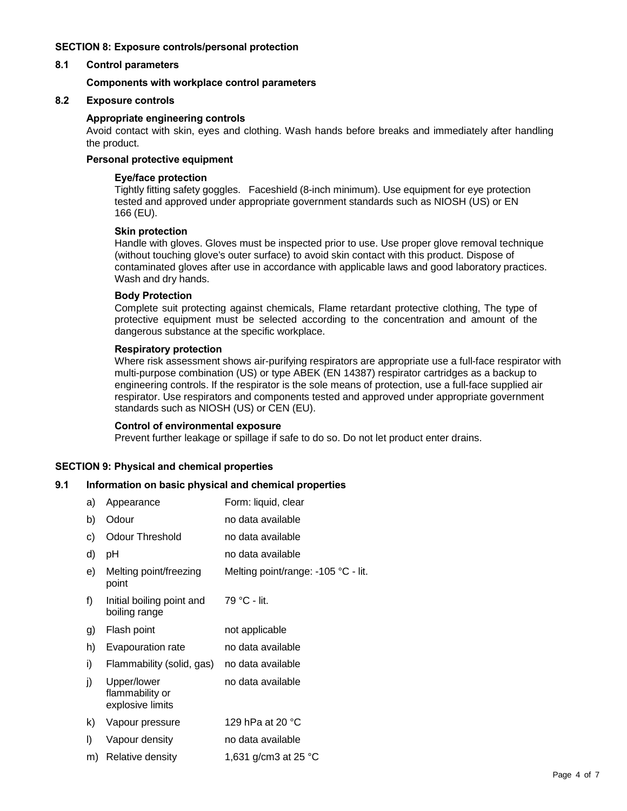## **SECTION 8: Exposure controls/personal protection**

## **8.1 Control parameters**

## **Components with workplace control parameters**

#### **8.2 Exposure controls**

#### **Appropriate engineering controls**

Avoid contact with skin, eyes and clothing. Wash hands before breaks and immediately after handling the product.

## **Personal protective equipment**

#### **Eye/face protection**

Tightly fitting safety goggles. Faceshield (8-inch minimum). Use equipment for eye protection tested and approved under appropriate government standards such as NIOSH (US) or EN 166 (EU).

## **Skin protection**

Handle with gloves. Gloves must be inspected prior to use. Use proper glove removal technique (without touching glove's outer surface) to avoid skin contact with this product. Dispose of contaminated gloves after use in accordance with applicable laws and good laboratory practices. Wash and dry hands.

#### **Body Protection**

Complete suit protecting against chemicals, Flame retardant protective clothing, The type of protective equipment must be selected according to the concentration and amount of the dangerous substance at the specific workplace.

#### **Respiratory protection**

Where risk assessment shows air-purifying respirators are appropriate use a full-face respirator with multi-purpose combination (US) or type ABEK (EN 14387) respirator cartridges as a backup to engineering controls. If the respirator is the sole means of protection, use a full-face supplied air respirator. Use respirators and components tested and approved under appropriate government standards such as NIOSH (US) or CEN (EU).

#### **Control of environmental exposure**

Prevent further leakage or spillage if safe to do so. Do not let product enter drains.

## **SECTION 9: Physical and chemical properties**

## **9.1 Information on basic physical and chemical properties**

| a) | Appearance                                         | Form: liquid, clear                 |
|----|----------------------------------------------------|-------------------------------------|
| b) | Odour                                              | no data available                   |
| C) | Odour Threshold                                    | no data available                   |
| d) | рH                                                 | no data available                   |
| e) | Melting point/freezing<br>point                    | Melting point/range: -105 °C - lit. |
| f) | Initial boiling point and<br>boiling range         | 79 °C - lit.                        |
| g) | Flash point                                        | not applicable                      |
| h) | Evapouration rate                                  | no data available                   |
| i) | Flammability (solid, gas)                          | no data available                   |
| j) | Upper/lower<br>flammability or<br>explosive limits | no data available                   |
| k) | Vapour pressure                                    | 129 hPa at 20 $^{\circ}$ C          |
| I) | Vapour density                                     | no data available                   |
| m) | Relative density                                   | 1,631 g/cm3 at 25 $^{\circ}$ C      |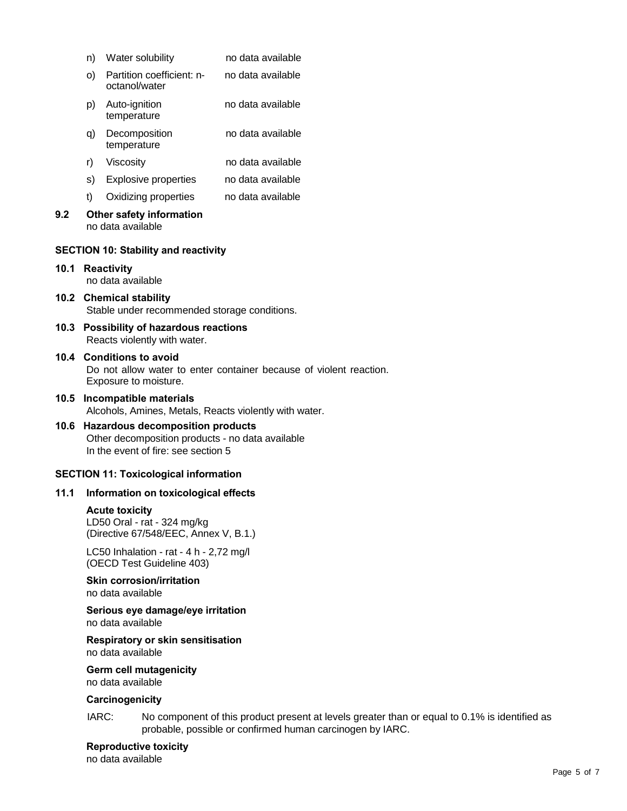|      | n)                                                                                                                                 | Water solubility                                                                              | no data available |
|------|------------------------------------------------------------------------------------------------------------------------------------|-----------------------------------------------------------------------------------------------|-------------------|
|      | O)                                                                                                                                 | Partition coefficient: n-<br>octanol/water                                                    | no data available |
|      | p)                                                                                                                                 | Auto-ignition<br>temperature                                                                  | no data available |
|      | q)                                                                                                                                 | Decomposition<br>temperature                                                                  | no data available |
|      | r)                                                                                                                                 | Viscosity                                                                                     | no data available |
|      | s)                                                                                                                                 | <b>Explosive properties</b>                                                                   | no data available |
|      | t)                                                                                                                                 | Oxidizing properties                                                                          | no data available |
| 9.2  |                                                                                                                                    | Other safety information<br>no data available                                                 |                   |
|      |                                                                                                                                    | <b>SECTION 10: Stability and reactivity</b>                                                   |                   |
| 10.1 | <b>Reactivity</b><br>no data available                                                                                             |                                                                                               |                   |
|      | 10.2 Chemical stability<br>Stable under recommended storage conditions.                                                            |                                                                                               |                   |
|      | 10.3 Possibility of hazardous reactions<br>Reacts violently with water.                                                            |                                                                                               |                   |
|      | 10.4 Conditions to avoid<br>Do not allow water to enter container because of violent reaction.<br>Exposure to moisture.            |                                                                                               |                   |
| 10.5 | Incompatible materials<br>Alcohols, Amines, Metals, Reacts violently with water.                                                   |                                                                                               |                   |
| 10.6 | <b>Hazardous decomposition products</b><br>Other decomposition products - no data available<br>In the event of fire: see section 5 |                                                                                               |                   |
|      |                                                                                                                                    | <b>SECTION 11: Toxicological information</b>                                                  |                   |
|      |                                                                                                                                    | 11.1 Information on toxicological effects                                                     |                   |
|      |                                                                                                                                    | <b>Acute toxicity</b><br>LD50 Oral - rat - 324 mg/kg<br>(Directive 67/548/EEC, Annex V, B.1.) |                   |
|      |                                                                                                                                    | LC50 Inhalation - rat - 4 h - 2,72 mg/l<br>(OECD Test Guideline 403)                          |                   |
|      |                                                                                                                                    | <b>Skin corrosion/irritation</b><br>no data available                                         |                   |
|      |                                                                                                                                    | Serious eye damage/eye irritation<br>no data available                                        |                   |

## **Respiratory or skin sensitisation** no data available

**Germ cell mutagenicity**

no data available

# **Carcinogenicity**

IARC: No component of this product present at levels greater than or equal to 0.1% is identified as probable, possible or confirmed human carcinogen by IARC.

**Reproductive toxicity** no data available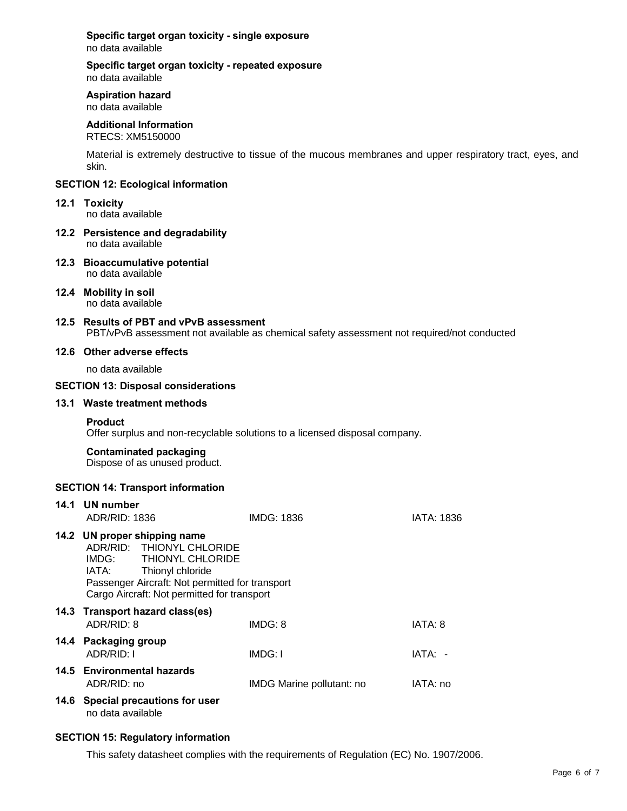**Specific target organ toxicity - single exposure** no data available

#### **Specific target organ toxicity - repeated exposure** no data available

#### **Aspiration hazard**

no data available

## **Additional Information**

RTECS: XM5150000

Material is extremely destructive to tissue of the mucous membranes and upper respiratory tract, eyes, and skin.

#### **SECTION 12: Ecological information**

#### **12.1 Toxicity**

no data available

- **12.2 Persistence and degradability** no data available
- **12.3 Bioaccumulative potential** no data available
- **12.4 Mobility in soil** no data available

#### **12.5 Results of PBT and vPvB assessment** PBT/vPvB assessment not available as chemical safety assessment not required/not conducted

#### **12.6 Other adverse effects**

no data available

## **SECTION 13: Disposal considerations**

#### **13.1 Waste treatment methods**

#### **Product**

Offer surplus and non-recyclable solutions to a licensed disposal company.

#### **Contaminated packaging**

Dispose of as unused product.

## **SECTION 14: Transport information**

| 14.1 UN number<br>ADR/RID: 1836                                                                                                                                                                                 | IMDG: 1836                | IATA: 1836 |
|-----------------------------------------------------------------------------------------------------------------------------------------------------------------------------------------------------------------|---------------------------|------------|
| 14.2 UN proper shipping name<br>ADR/RID: THIONYL CHLORIDE<br>IMDG: THIONYL CHLORIDE<br>IATA: Thionyl chloride<br>Passenger Aircraft: Not permitted for transport<br>Cargo Aircraft: Not permitted for transport |                           |            |
| 14.3 Transport hazard class(es)<br>ADR/RID: 8                                                                                                                                                                   | IMDG: 8                   | IATA: 8    |
| 14.4 Packaging group<br>ADR/RID: I                                                                                                                                                                              | IMDG: I                   | IATA: -    |
| 14.5 Environmental hazards<br>ADR/RID: no                                                                                                                                                                       | IMDG Marine pollutant: no | IATA: no   |
| 14.6 Special precautions for user<br>no data available                                                                                                                                                          |                           |            |

## **SECTION 15: Regulatory information**

This safety datasheet complies with the requirements of Regulation (EC) No. 1907/2006.